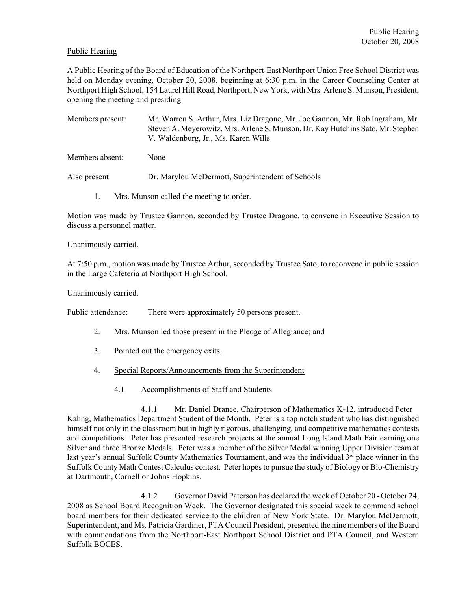## Public Hearing

A Public Hearing of the Board of Education of the Northport-East Northport Union Free School District was held on Monday evening, October 20, 2008, beginning at 6:30 p.m. in the Career Counseling Center at Northport High School, 154 Laurel Hill Road, Northport, New York, with Mrs. Arlene S. Munson, President, opening the meeting and presiding.

Members present: Mr. Warren S. Arthur, Mrs. Liz Dragone, Mr. Joe Gannon, Mr. Rob Ingraham, Mr. Steven A. Meyerowitz, Mrs. Arlene S. Munson, Dr. Kay Hutchins Sato, Mr. Stephen V. Waldenburg, Jr., Ms. Karen Wills

Members absent: None

Also present: Dr. Marylou McDermott, Superintendent of Schools

1. Mrs. Munson called the meeting to order.

Motion was made by Trustee Gannon, seconded by Trustee Dragone, to convene in Executive Session to discuss a personnel matter.

Unanimously carried.

At 7:50 p.m., motion was made by Trustee Arthur, seconded by Trustee Sato, to reconvene in public session in the Large Cafeteria at Northport High School.

Unanimously carried.

Public attendance: There were approximately 50 persons present.

- 2. Mrs. Munson led those present in the Pledge of Allegiance; and
- 3. Pointed out the emergency exits.
- 4. Special Reports/Announcements from the Superintendent
	- 4.1 Accomplishments of Staff and Students

4.1.1 Mr. Daniel Drance, Chairperson of Mathematics K-12, introduced Peter Kahng, Mathematics Department Student of the Month. Peter is a top notch student who has distinguished himself not only in the classroom but in highly rigorous, challenging, and competitive mathematics contests and competitions. Peter has presented research projects at the annual Long Island Math Fair earning one Silver and three Bronze Medals. Peter was a member of the Silver Medal winning Upper Division team at last year's annual Suffolk County Mathematics Tournament, and was the individual 3<sup>rd</sup> place winner in the Suffolk County Math Contest Calculus contest. Peter hopes to pursue the study of Biology or Bio-Chemistry at Dartmouth, Cornell or Johns Hopkins.

4.1.2 Governor David Paterson has declared the week of October 20 - October 24, 2008 as School Board Recognition Week. The Governor designated this special week to commend school board members for their dedicated service to the children of New York State. Dr. Marylou McDermott, Superintendent, and Ms. Patricia Gardiner, PTA Council President, presented the nine members of the Board with commendations from the Northport-East Northport School District and PTA Council, and Western Suffolk BOCES.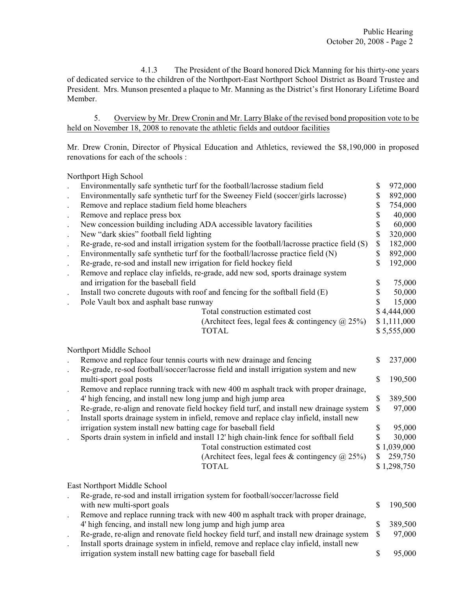4.1.3 The President of the Board honored Dick Manning for his thirty-one years of dedicated service to the children of the Northport-East Northport School District as Board Trustee and President. Mrs. Munson presented a plaque to Mr. Manning as the District's first Honorary Lifetime Board Member.

5. Overview by Mr. Drew Cronin and Mr. Larry Blake of the revised bond proposition vote to be held on November 18, 2008 to renovate the athletic fields and outdoor facilities

Mr. Drew Cronin, Director of Physical Education and Athletics, reviewed the \$8,190,000 in proposed renovations for each of the schools :

Northport High School

|                                                                           | Environmentally safe synthetic turf for the football/lacrosse stadium field                                                                                                                                                                                                                                                                                                                                                                                                                                                                                                                                                                                                                                                                                                                                                                  | \$                                     | 972,000                                                                                              |
|---------------------------------------------------------------------------|----------------------------------------------------------------------------------------------------------------------------------------------------------------------------------------------------------------------------------------------------------------------------------------------------------------------------------------------------------------------------------------------------------------------------------------------------------------------------------------------------------------------------------------------------------------------------------------------------------------------------------------------------------------------------------------------------------------------------------------------------------------------------------------------------------------------------------------------|----------------------------------------|------------------------------------------------------------------------------------------------------|
|                                                                           | Environmentally safe synthetic turf for the Sweeney Field (soccer/girls lacrosse)                                                                                                                                                                                                                                                                                                                                                                                                                                                                                                                                                                                                                                                                                                                                                            | \$                                     | 892,000                                                                                              |
| $\ddot{\phantom{0}}$                                                      | Remove and replace stadium field home bleachers                                                                                                                                                                                                                                                                                                                                                                                                                                                                                                                                                                                                                                                                                                                                                                                              | \$                                     | 754,000                                                                                              |
|                                                                           | Remove and replace press box                                                                                                                                                                                                                                                                                                                                                                                                                                                                                                                                                                                                                                                                                                                                                                                                                 | \$                                     | 40,000                                                                                               |
| $\bullet$                                                                 | New concession building including ADA accessible lavatory facilities                                                                                                                                                                                                                                                                                                                                                                                                                                                                                                                                                                                                                                                                                                                                                                         | \$                                     | 60,000                                                                                               |
| $\ddot{\phantom{1}}$                                                      | New "dark skies" football field lighting                                                                                                                                                                                                                                                                                                                                                                                                                                                                                                                                                                                                                                                                                                                                                                                                     | \$                                     | 320,000                                                                                              |
| $\ddot{\phantom{a}}$                                                      | Re-grade, re-sod and install irrigation system for the football/lacrosse practice field (S)                                                                                                                                                                                                                                                                                                                                                                                                                                                                                                                                                                                                                                                                                                                                                  | $\mathbb S$                            | 182,000                                                                                              |
| $\ddot{\phantom{a}}$                                                      | Environmentally safe synthetic turf for the football/lacrosse practice field (N)                                                                                                                                                                                                                                                                                                                                                                                                                                                                                                                                                                                                                                                                                                                                                             | \$                                     | 892,000                                                                                              |
| $\cdot$                                                                   | Re-grade, re-sod and install new irrigation for field hockey field                                                                                                                                                                                                                                                                                                                                                                                                                                                                                                                                                                                                                                                                                                                                                                           | \$                                     | 192,000                                                                                              |
| $\ddot{\phantom{a}}$                                                      | Remove and replace clay infields, re-grade, add new sod, sports drainage system                                                                                                                                                                                                                                                                                                                                                                                                                                                                                                                                                                                                                                                                                                                                                              |                                        |                                                                                                      |
|                                                                           | and irrigation for the baseball field                                                                                                                                                                                                                                                                                                                                                                                                                                                                                                                                                                                                                                                                                                                                                                                                        | \$                                     | 75,000                                                                                               |
| $\ddot{\phantom{a}}$                                                      | Install two concrete dugouts with roof and fencing for the softball field (E)                                                                                                                                                                                                                                                                                                                                                                                                                                                                                                                                                                                                                                                                                                                                                                | \$                                     | 50,000                                                                                               |
|                                                                           | Pole Vault box and asphalt base runway                                                                                                                                                                                                                                                                                                                                                                                                                                                                                                                                                                                                                                                                                                                                                                                                       | \$                                     | 15,000                                                                                               |
|                                                                           | Total construction estimated cost                                                                                                                                                                                                                                                                                                                                                                                                                                                                                                                                                                                                                                                                                                                                                                                                            |                                        | \$4,444,000                                                                                          |
|                                                                           | (Architect fees, legal fees & contingency $\omega$ 25%)                                                                                                                                                                                                                                                                                                                                                                                                                                                                                                                                                                                                                                                                                                                                                                                      |                                        | \$1,111,000                                                                                          |
|                                                                           | <b>TOTAL</b>                                                                                                                                                                                                                                                                                                                                                                                                                                                                                                                                                                                                                                                                                                                                                                                                                                 |                                        | \$5,555,000                                                                                          |
| $\ddot{\phantom{0}}$<br>$\ddot{\phantom{0}}$<br>$\blacksquare$<br>$\cdot$ | Northport Middle School<br>Remove and replace four tennis courts with new drainage and fencing<br>Re-grade, re-sod football/soccer/lacrosse field and install irrigation system and new<br>multi-sport goal posts<br>Remove and replace running track with new 400 m asphalt track with proper drainage,<br>4' high fencing, and install new long jump and high jump area<br>Re-grade, re-align and renovate field hockey field turf, and install new drainage system<br>Install sports drainage system in infield, remove and replace clay infield, install new<br>irrigation system install new batting cage for baseball field<br>Sports drain system in infield and install 12' high chain-link fence for softball field<br>Total construction estimated cost<br>(Architect fees, legal fees & contingency $\omega$ 25%)<br><b>TOTAL</b> | \$<br>\$<br>\$<br>\$<br>\$<br>\$<br>\$ | 237,000<br>190,500<br>389,500<br>97,000<br>95,000<br>30,000<br>\$1,039,000<br>259,750<br>\$1,298,750 |
|                                                                           | East Northport Middle School                                                                                                                                                                                                                                                                                                                                                                                                                                                                                                                                                                                                                                                                                                                                                                                                                 |                                        |                                                                                                      |
|                                                                           | Re-grade, re-sod and install irrigation system for football/soccer/lacrosse field                                                                                                                                                                                                                                                                                                                                                                                                                                                                                                                                                                                                                                                                                                                                                            |                                        |                                                                                                      |
|                                                                           | with new multi-sport goals                                                                                                                                                                                                                                                                                                                                                                                                                                                                                                                                                                                                                                                                                                                                                                                                                   | \$                                     | 190,500                                                                                              |
| $\ddot{\phantom{a}}$                                                      | Remove and replace running track with new 400 m asphalt track with proper drainage,                                                                                                                                                                                                                                                                                                                                                                                                                                                                                                                                                                                                                                                                                                                                                          |                                        |                                                                                                      |
|                                                                           | 4' high fencing, and install new long jump and high jump area                                                                                                                                                                                                                                                                                                                                                                                                                                                                                                                                                                                                                                                                                                                                                                                | \$                                     | 389,500                                                                                              |
| $\bullet$                                                                 | Re-grade, re-align and renovate field hockey field turf, and install new drainage system                                                                                                                                                                                                                                                                                                                                                                                                                                                                                                                                                                                                                                                                                                                                                     | \$                                     | 97,000                                                                                               |
|                                                                           | Install sports drainage system in infield, remove and replace clay infield, install new                                                                                                                                                                                                                                                                                                                                                                                                                                                                                                                                                                                                                                                                                                                                                      |                                        |                                                                                                      |
|                                                                           | irrigation system install new batting cage for baseball field                                                                                                                                                                                                                                                                                                                                                                                                                                                                                                                                                                                                                                                                                                                                                                                | \$                                     | 95,000                                                                                               |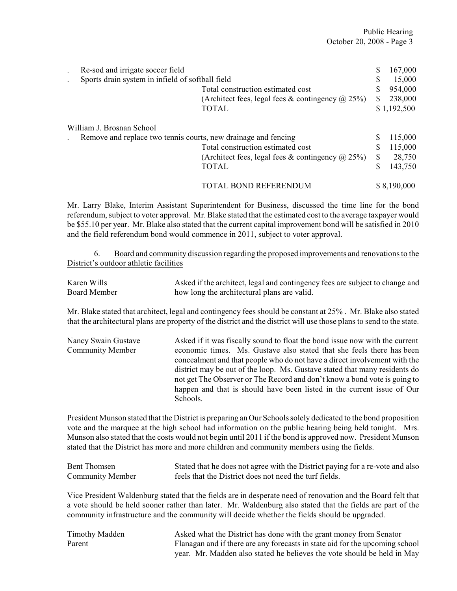| Re-sod and irrigate soccer field                               |                                                         | \$  | 167,000     |
|----------------------------------------------------------------|---------------------------------------------------------|-----|-------------|
| Sports drain system in infield of softball field               |                                                         | S   | 15,000      |
|                                                                | Total construction estimated cost                       |     | 954,000     |
|                                                                | (Architect fees, legal fees & contingency $\omega$ 25%) | S   | 238,000     |
|                                                                | <b>TOTAL</b>                                            |     | \$1,192,500 |
| William J. Brosnan School                                      |                                                         |     |             |
| Remove and replace two tennis courts, new drainage and fencing |                                                         | S   | 115,000     |
|                                                                | Total construction estimated cost                       | S   | 115,000     |
|                                                                | (Architect fees, legal fees & contingency $\omega$ 25%) | \$. | 28,750      |
|                                                                | <b>TOTAL</b>                                            | \$  | 143,750     |
|                                                                | <b>TOTAL BOND REFERENDUM</b>                            |     | \$8,190,000 |

Mr. Larry Blake, Interim Assistant Superintendent for Business, discussed the time line for the bond referendum, subject to voter approval. Mr. Blake stated that the estimated cost to the average taxpayer would be \$55.10 per year. Mr. Blake also stated that the current capital improvement bond will be satisfied in 2010 and the field referendum bond would commence in 2011, subject to voter approval.

6. Board and community discussion regarding the proposed improvements and renovations to the District's outdoor athletic facilities

| Karen Wills  | Asked if the architect, legal and contingency fees are subject to change and |
|--------------|------------------------------------------------------------------------------|
| Board Member | how long the architectural plans are valid.                                  |

Mr. Blake stated that architect, legal and contingency fees should be constant at 25% . Mr. Blake also stated that the architectural plans are property of the district and the district will use those plans to send to the state.

| Nancy Swain Gustave     | Asked if it was fiscally sound to float the bond issue now with the current |
|-------------------------|-----------------------------------------------------------------------------|
| <b>Community Member</b> | economic times. Ms. Gustave also stated that she feels there has been       |
|                         | concealment and that people who do not have a direct involvement with the   |
|                         | district may be out of the loop. Ms. Gustave stated that many residents do  |
|                         | not get The Observer or The Record and don't know a bond vote is going to   |
|                         | happen and that is should have been listed in the current issue of Our      |
|                         | Schools.                                                                    |

President Munson stated that the District is preparing an Our Schools solely dedicated to the bond proposition vote and the marquee at the high school had information on the public hearing being held tonight. Mrs. Munson also stated that the costs would not begin until 2011 if the bond is approved now. President Munson stated that the District has more and more children and community members using the fields.

| Bent Thomsen     | Stated that he does not agree with the District paying for a re-vote and also |
|------------------|-------------------------------------------------------------------------------|
| Community Member | feels that the District does not need the turf fields.                        |

Vice President Waldenburg stated that the fields are in desperate need of renovation and the Board felt that a vote should be held sooner rather than later. Mr. Waldenburg also stated that the fields are part of the community infrastructure and the community will decide whether the fields should be upgraded.

| Timothy Madden | Asked what the District has done with the grant money from Senator           |
|----------------|------------------------------------------------------------------------------|
| Parent         | Flanagan and if there are any forecasts in state aid for the upcoming school |
|                | year. Mr. Madden also stated he believes the vote should be held in May      |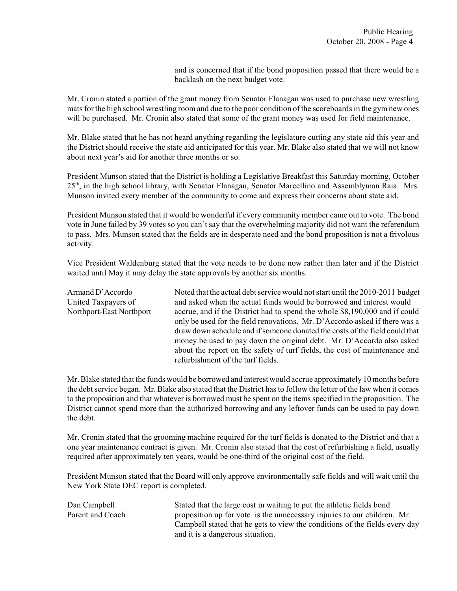and is concerned that if the bond proposition passed that there would be a backlash on the next budget vote.

Mr. Cronin stated a portion of the grant money from Senator Flanagan was used to purchase new wrestling mats for the high school wrestling room and due to the poor condition of the scoreboards in the gym new ones will be purchased. Mr. Cronin also stated that some of the grant money was used for field maintenance.

Mr. Blake stated that he has not heard anything regarding the legislature cutting any state aid this year and the District should receive the state aid anticipated for this year. Mr. Blake also stated that we will not know about next year's aid for another three months or so.

President Munson stated that the District is holding a Legislative Breakfast this Saturday morning, October  $25<sup>th</sup>$ , in the high school library, with Senator Flanagan, Senator Marcellino and Assemblyman Raia. Mrs. Munson invited every member of the community to come and express their concerns about state aid.

President Munson stated that it would be wonderful if every community member came out to vote. The bond vote in June failed by 39 votes so you can't say that the overwhelming majority did not want the referendum to pass. Mrs. Munson stated that the fields are in desperate need and the bond proposition is not a frivolous activity.

Vice President Waldenburg stated that the vote needs to be done now rather than later and if the District waited until May it may delay the state approvals by another six months.

| Noted that the actual debt service would not start until the 2010-2011 budget |
|-------------------------------------------------------------------------------|
| and asked when the actual funds would be borrowed and interest would          |
| accrue, and if the District had to spend the whole \$8,190,000 and if could   |
| only be used for the field renovations. Mr. D'Accordo asked if there was a    |
| draw down schedule and if someone donated the costs of the field could that   |
| money be used to pay down the original debt. Mr. D'Accordo also asked         |
| about the report on the safety of turf fields, the cost of maintenance and    |
| refurbishment of the turf fields.                                             |
|                                                                               |

Mr. Blake stated that the funds would be borrowed and interest would accrue approximately 10 months before the debt service began. Mr. Blake also stated that the District has to follow the letter of the law when it comes to the proposition and that whatever is borrowed must be spent on the items specified in the proposition. The District cannot spend more than the authorized borrowing and any leftover funds can be used to pay down the debt.

Mr. Cronin stated that the grooming machine required for the turf fields is donated to the District and that a one year maintenance contract is given. Mr. Cronin also stated that the cost of refurbishing a field, usually required after approximately ten years, would be one-third of the original cost of the field.

President Munson stated that the Board will only approve environmentally safe fields and will wait until the New York State DEC report is completed.

Dan Campbell Stated that the large cost in waiting to put the athletic fields bond Parent and Coach proposition up for vote is the unnecessary injuries to our children. Mr. Campbell stated that he gets to view the conditions of the fields every day and it is a dangerous situation.